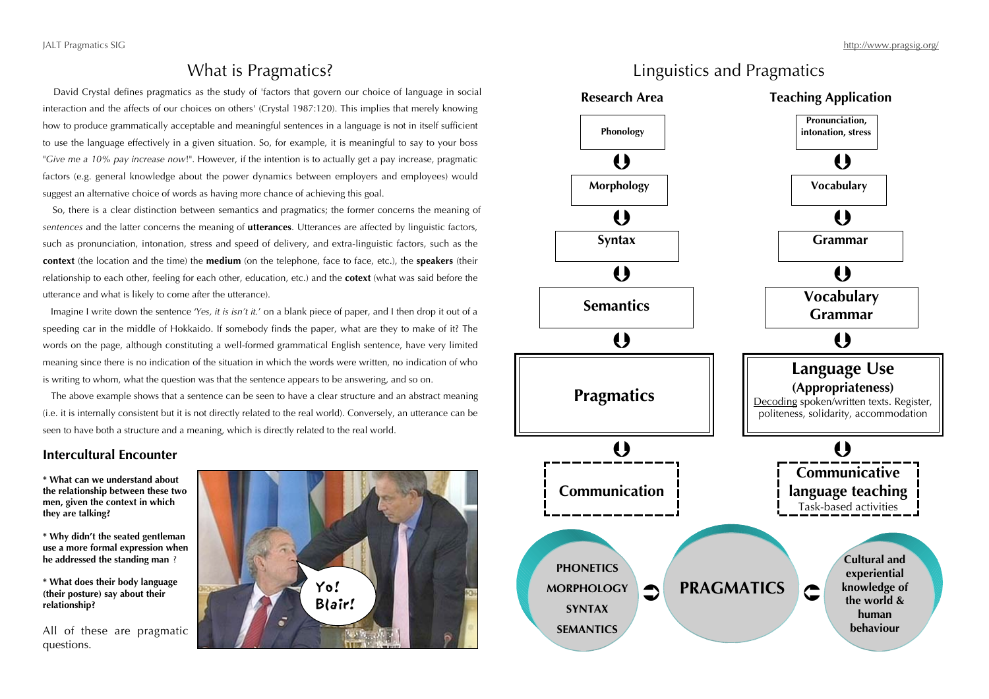## What is Pragmatics?

 David Crystal defines pragmatics as the study of 'factors that govern our choice of language in social interaction and the affects of our choices on others' (Crystal 1987:120). This implies that merely knowing how to produce grammatically acceptable and meaningful sentences in a language is not in itself sufficient to use the language effectively in a given situation. So, for example, it is meaningful to say to your boss "*Give me a 10% pay increase now*!". However, if the intention is to actually get a pay increase, pragmatic factors (e.g. general knowledge about the power dynamics between employers and employees) would suggest an alternative choice of words as having more chance of achieving this goal.

 So, there is a clear distinction between semantics and pragmatics; the former concerns the meaning of *sentences* and the latter concerns the meaning of **utterances**. Utterances are affected by linguistic factors, such as pronunciation, intonation, stress and speed of delivery, and extra-linguistic factors, such as the **context** (the location and the time) the **medium** (on the telephone, face to face, etc.), the **speakers** (their relationship to each other, feeling for each other, education, etc.) and the **cotext** (what was said before the utterance and what is likely to come after the utterance).

 Imagine I write down the sentence '*Yes, it is isn't it.*' on a blank piece of paper, and I then drop it out of a speeding car in the middle of Hokkaido. If somebody finds the paper, what are they to make of it? The words on the page, although constituting a well-formed grammatical English sentence, have very limited meaning since there is no indication of the situation in which the words were written, no indication of who is writing to whom, what the question was that the sentence appears to be answering, and so on.

 The above example shows that a sentence can be seen to have a clear structure and an abstract meaning (i.e. it is internally consistent but it is not directly related to the real world). Conversely, an utterance can be seen to have both a structure and a meaning, which is directly related to the real world.

### **Intercultural Encounter**

**\* What can we understand about the relationship between these two men, given the context in which they are talking?**

**\* Why didn't the seated gentleman use a more formal expression when he addressed the standing man** ?

**\* What does their body language (their posture) say about their relationship?**

All of these are pragmatic questions.



## Linguistics and Pragmatics

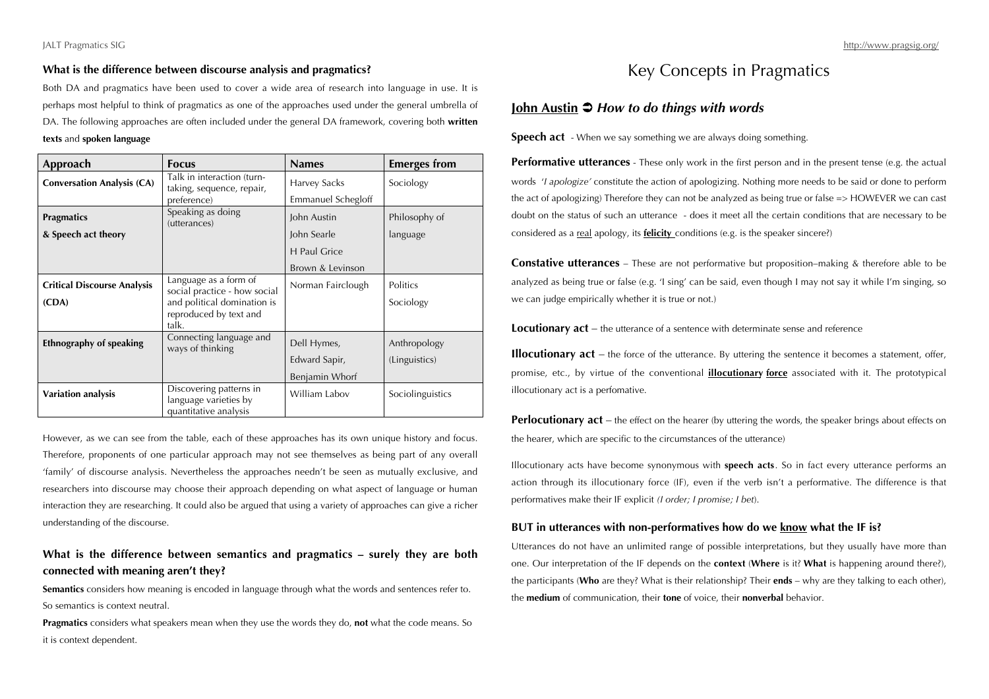#### **What is the difference between discourse analysis and pragmatics?**

Both DA and pragmatics have been used to cover a wide area of research into language in use. It is perhaps most helpful to think of pragmatics as one of the approaches used under the general umbrella of DA. The following approaches are often included under the general DA framework, covering both **written texts** and **spoken language**

| Approach                           | <b>Focus</b>                                                              | <b>Names</b>        | <b>Emerges from</b> |
|------------------------------------|---------------------------------------------------------------------------|---------------------|---------------------|
| <b>Conversation Analysis (CA)</b>  | Talk in interaction (turn-<br>taking, sequence, repair,                   | <b>Harvey Sacks</b> | Sociology           |
|                                    | preference)                                                               | Emmanuel Schegloff  |                     |
| <b>Pragmatics</b>                  | Speaking as doing<br>(utterances)                                         | John Austin         | Philosophy of       |
| & Speech act theory                |                                                                           | John Searle         | language            |
|                                    |                                                                           | <b>H</b> Paul Grice |                     |
|                                    |                                                                           | Brown & Levinson    |                     |
| <b>Critical Discourse Analysis</b> | Language as a form of<br>social practice - how social                     | Norman Fairclough   | Politics            |
| (CDA)                              | and political domination is<br>reproduced by text and<br>talk.            |                     | Sociology           |
| Ethnography of speaking            | Connecting language and<br>ways of thinking                               | Dell Hymes,         | Anthropology        |
|                                    |                                                                           | Edward Sapir,       | (Linguistics)       |
|                                    |                                                                           | Benjamin Whorf      |                     |
| Variation analysis                 | Discovering patterns in<br>language varieties by<br>quantitative analysis | William Labov       | Sociolinguistics    |

However, as we can see from the table, each of these approaches has its own unique history and focus. Therefore, proponents of one particular approach may not see themselves as being part of any overall 'family' of discourse analysis. Nevertheless the approaches needn't be seen as mutually exclusive, and researchers into discourse may choose their approach depending on what aspect of language or human interaction they are researching. It could also be argued that using a variety of approaches can give a richer understanding of the discourse.

### **What is the difference between semantics and pragmatics – surely they are both connected with meaning aren't they?**

**Semantics** considers how meaning is encoded in language through what the words and sentences refer to. So semantics is context neutral.

**Pragmatics** considers what speakers mean when they use the words they do, **not** what the code means. So it is context dependent.

## Key Concepts in Pragmatics

### **John Austin** *● How to do things with words*

**Speech act** - When we say something we are always doing something.

**Performative utterances** - These only work in the first person and in the present tense (e.g. the actual words '*I apologize'* constitute the action of apologizing. Nothing more needs to be said or done to perform the act of apologizing) Therefore they can not be analyzed as being true or false => HOWEVER we can cast doubt on the status of such an utterance - does it meet all the certain conditions that are necessary to be considered as a real apology, its **felicity** conditions (e.g. is the speaker sincere?)

**Constative utterances** – These are not performative but proposition–making & therefore able to be analyzed as being true or false (e.g. 'I sing' can be said, even though I may not say it while I'm singing, so we can judge empirically whether it is true or not.)

**Locutionary act** – the utterance of a sentence with determinate sense and reference

**Illocutionary act** – the force of the utterance. By uttering the sentence it becomes a statement, offer, promise, etc., by virtue of the conventional **illocutionary force** associated with it. The prototypical illocutionary act is a perfomative.

**Perlocutionary act** – the effect on the hearer (by uttering the words, the speaker brings about effects on the hearer, which are specific to the circumstances of the utterance)

Illocutionary acts have become synonymous with **speech acts**. So in fact every utterance performs an action through its illocutionary force (IF), even if the verb isn't a performative. The difference is that performatives make their IF explicit *(I order; I promise; I bet*).

#### **BUT in utterances with non-performatives how do we know what the IF is?**

Utterances do not have an unlimited range of possible interpretations, but they usually have more than one. Our interpretation of the IF depends on the **context** (**Where** is it? **What** is happening around there?), the participants (**Who** are they? What is their relationship? Their **ends** – why are they talking to each other), the **medium** of communication, their **tone** of voice, their **nonverbal** behavior.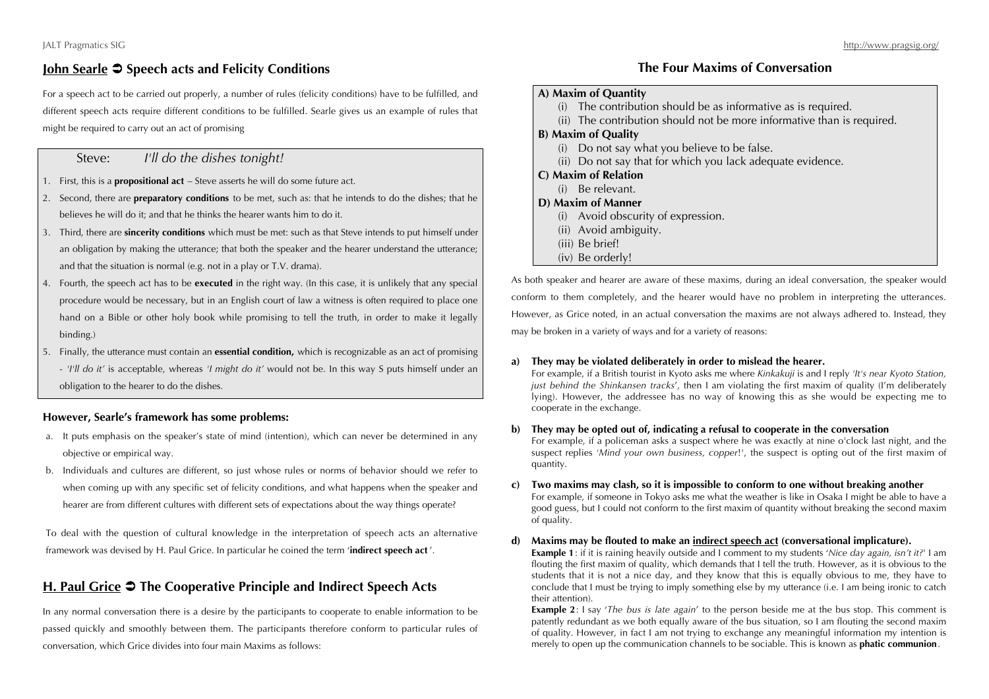## **John Searle Speech acts and Felicity Conditions**

For a speech act to be carried out properly, a number of rules (felicity conditions) have to be fulfilled, and different speech acts require different conditions to be fulfilled. Searle gives us an example of rules that might be required to carry out an act of promising

## Steve: *I'll do the dishes tonight!*

- 1. First, this is a **propositional act** Steve asserts he will do some future act.
- 2. Second, there are **preparatory conditions** to be met, such as: that he intends to do the dishes; that he believes he will do it; and that he thinks the hearer wants him to do it.
- 3. Third, there are **sincerity conditions** which must be met: such as that Steve intends to put himself under an obligation by making the utterance; that both the speaker and the hearer understand the utterance; and that the situation is normal (e.g. not in a play or T.V. drama).
- 4. Fourth, the speech act has to be **executed** in the right way. (In this case, it is unlikely that any special procedure would be necessary, but in an English court of law a witness is often required to place one hand on a Bible or other holy book while promising to tell the truth, in order to make it legally binding.)
- 5. Finally, the utterance must contain an **essential condition,** which is recognizable as an act of promising - *'I'll do it'* is acceptable, whereas *'I might do it'* would not be. In this way S puts himself under an obligation to the hearer to do the dishes.

#### **However, Searle's framework has some problems:**

- a. It puts emphasis on the speaker's state of mind (intention), which can never be determined in any objective or empirical way.
- b. Individuals and cultures are different, so just whose rules or norms of behavior should we refer to when coming up with any specific set of felicity conditions, and what happens when the speaker and hearer are from different cultures with different sets of expectations about the way things operate?

To deal with the question of cultural knowledge in the interpretation of speech acts an alternative framework was devised by H. Paul Grice. In particular he coined the term '**indirect speech act** '.

## **H. Paul Grice The Cooperative Principle and Indirect Speech Acts**

In any normal conversation there is a desire by the participants to cooperate to enable information to be passed quickly and smoothly between them. The participants therefore conform to particular rules of conversation, which Grice divides into four main Maxims as follows:

### **The Four Maxims of Conversation**

#### **A) Maxim of Quantity**

- (i) The contribution should be as informative as is required.
- (ii) The contribution should not be more informative than is required.

#### **B) Maxim of Quality**

- (i) Do not say what you believe to be false.
- (ii) Do not say that for which you lack adequate evidence.
- **C) Maxim of Relation**
	- (i) Be relevant.

#### **D) Maxim of Manner**

- (i) Avoid obscurity of expression.
- (ii) Avoid ambiguity.
- (iii) Be brief!
- (iv) Be orderly!

As both speaker and hearer are aware of these maxims, during an ideal conversation, the speaker would conform to them completely, and the hearer would have no problem in interpreting the utterances. However, as Grice noted, in an actual conversation the maxims are not always adhered to. Instead, they may be broken in a variety of ways and for a variety of reasons:

#### **a) They may be violated deliberately in order to mislead the hearer.**

For example, if a British tourist in Kyoto asks me where *Kinkakuji* is and I reply *'It's near Kyoto Station, just behind the Shinkansen tracks*', then I am violating the first maxim of quality (I'm deliberately lying). However, the addressee has no way of knowing this as she would be expecting me to cooperate in the exchange.

#### **b) They may be opted out of, indicating a refusal to cooperate in the conversation**

For example, if a policeman asks a suspect where he was exactly at nine o'clock last night, and the suspect replies *'Mind your own business, copper!'*, the suspect is opting out of the first maxim of quantity.

#### **c) Two maxims may clash, so it is impossible to conform to one without breaking another**

For example, if someone in Tokyo asks me what the weather is like in Osaka I might be able to have a good guess, but I could not conform to the first maxim of quantity without breaking the second maxim of quality.

#### **d) Maxims may be flouted to make an indirect speech act (conversational implicature).**

**Example 1**: if it is raining heavily outside and I comment to my students '*Nice day again, isn't it?*' I am flouting the first maxim of quality, which demands that I tell the truth. However, as it is obvious to the students that it is not a nice day, and they know that this is equally obvious to me, they have to conclude that I must be trying to imply something else by my utterance (i.e. I am being ironic to catch their attention).

**Example 2**: I say '*The bus is late again*' to the person beside me at the bus stop. This comment is patently redundant as we both equally aware of the bus situation, so I am flouting the second maxim of quality. However, in fact I am not trying to exchange any meaningful information my intention is merely to open up the communication channels to be sociable. This is known as **phatic communion**.